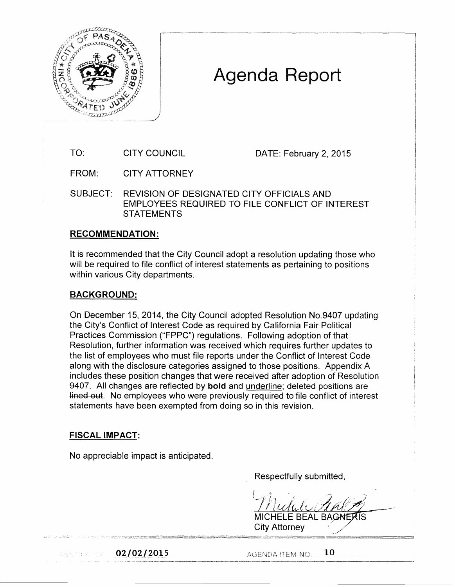

## Agenda Report

TO: CITY COUNCIL DATE: February 2, 2015

FROM: CITY ATTORNEY

SUBJECT: REVISION OF DESIGNATED CITY OFFICIALS AND EMPLOYEES REQUIRED TO FILE CONFLICT OF INTEREST **STATEMENTS** 

## RECOMMENDATION:

It is recommended that the City Council adopt a resolution updating those who will be required to file conflict of interest statements as pertaining to positions within various City departments.

## BACKGROUND:

On December 15, 2014, the City Council adopted Resolution No.9407 updating the City's Conflict of Interest Code as required by California Fair Political Practices Commission ("FPPC") regulations. Following adoption of that Resolution, further information was received which requires further updates to the list of employees who must file reports under the Conflict of Interest Code along with the disclosure categories assigned to those positions. Appendix A includes these position changes that were received after adoption of Resolution 9407. All changes are reflected by **bold** and underline; deleted positions are lined out. No employees who were previously required to file conflict of interest statements have been exempted from doing so in this revision.

## FISCAL IMPACT:

No appreciable impact is anticipated.

Respectfully submitted,

**MICHELE BEAL BAGNE City Attorney** 

Application (19)

 $02/02/2015$  . AGENDA ITEM NO.  $10$